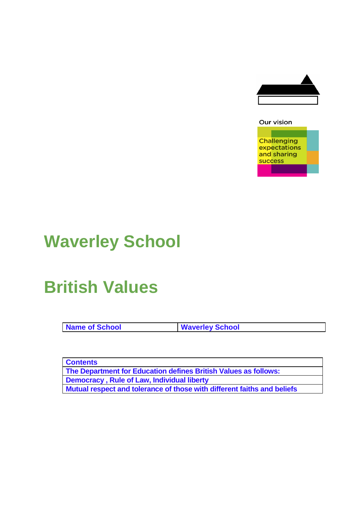

#### Our vision

**Challenging** expectations and sharing success

# **Waverley School**

# **British Values**

**Name of School Waverley School**

**Contents The Department for Education defines British Values as follows: Democracy , Rule of Law, Individual liberty Mutual respect and tolerance of those with different faiths and beliefs**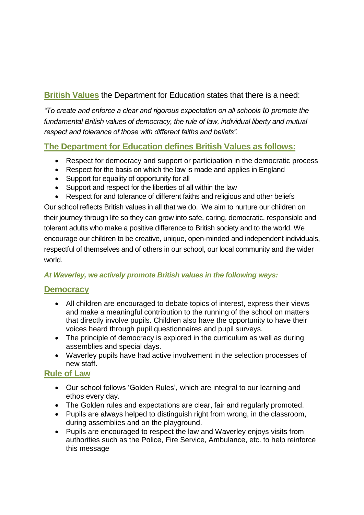# **British Values** the Department for Education states that there is a need:

*"To create and enforce a clear and rigorous expectation on all schools to promote the fundamental British values of democracy, the rule of law, individual liberty and mutual respect and tolerance of those with different faiths and beliefs".*

# **The Department for Education defines British Values as follows:**

- Respect for democracy and support or participation in the democratic process
- Respect for the basis on which the law is made and applies in England
- Support for equality of opportunity for all
- Support and respect for the liberties of all within the law
- Respect for and tolerance of different faiths and religious and other beliefs

Our school reflects British values in all that we do. We aim to nurture our children on their journey through life so they can grow into safe, caring, democratic, responsible and tolerant adults who make a positive difference to British society and to the world. We encourage our children to be creative, unique, open-minded and independent individuals, respectful of themselves and of others in our school, our local community and the wider world.

### *At Waverley, we actively promote British values in the following ways:*

### **Democracy**

- All children are encouraged to debate topics of interest, express their views and make a meaningful contribution to the running of the school on matters that directly involve pupils. Children also have the opportunity to have their voices heard through pupil questionnaires and pupil surveys.
- The principle of democracy is explored in the curriculum as well as during assemblies and special days.
- Waverley pupils have had active involvement in the selection processes of new staff.

### **Rule of Law**

- Our school follows 'Golden Rules', which are integral to our learning and ethos every day.
- The Golden rules and expectations are clear, fair and regularly promoted.
- Pupils are always helped to distinguish right from wrong, in the classroom, during assemblies and on the playground.
- Pupils are encouraged to respect the law and Waverley enjoys visits from authorities such as the Police, Fire Service, Ambulance, etc. to help reinforce this message